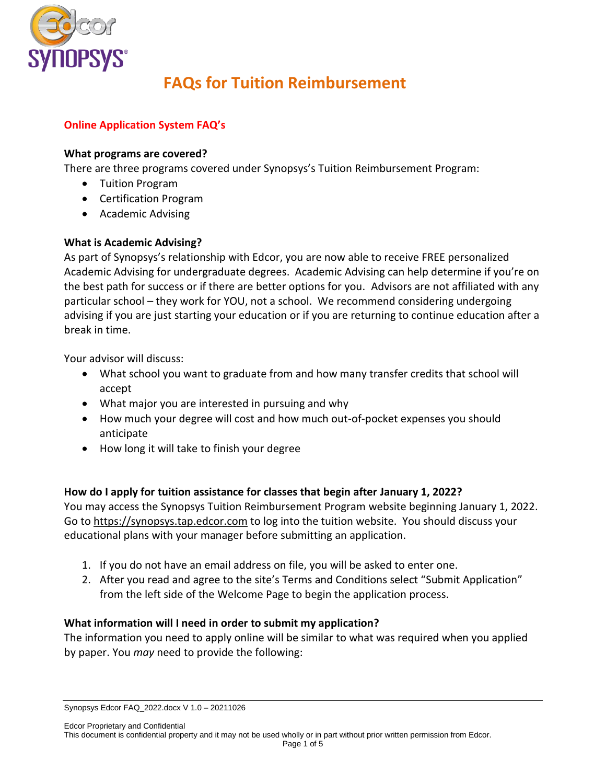

## **Online Application System FAQ's**

#### **What programs are covered?**

There are three programs covered under Synopsys's Tuition Reimbursement Program:

- Tuition Program
- Certification Program
- Academic Advising

## **What is Academic Advising?**

As part of Synopsys's relationship with Edcor, you are now able to receive FREE personalized Academic Advising for undergraduate degrees. Academic Advising can help determine if you're on the best path for success or if there are better options for you. Advisors are not affiliated with any particular school – they work for YOU, not a school. We recommend considering undergoing advising if you are just starting your education or if you are returning to continue education after a break in time.

Your advisor will discuss:

- What school you want to graduate from and how many transfer credits that school will accept
- What major you are interested in pursuing and why
- How much your degree will cost and how much out-of-pocket expenses you should anticipate
- How long it will take to finish your degree

#### **How do I apply for tuition assistance for classes that begin after January 1, 2022?**

You may access the Synopsys Tuition Reimbursement Program website beginning January 1, 2022. Go to https://synopsys.tap.edcor.com to log into the tuition website. You should discuss your educational plans with your manager before submitting an application.

- 1. If you do not have an email address on file, you will be asked to enter one.
- 2. After you read and agree to the site's Terms and Conditions select "Submit Application" from the left side of the Welcome Page to begin the application process.

#### **What information will I need in order to submit my application?**

The information you need to apply online will be similar to what was required when you applied by paper. You *may* need to provide the following:

Synopsys Edcor FAQ\_2022.docx V 1.0 – 20211026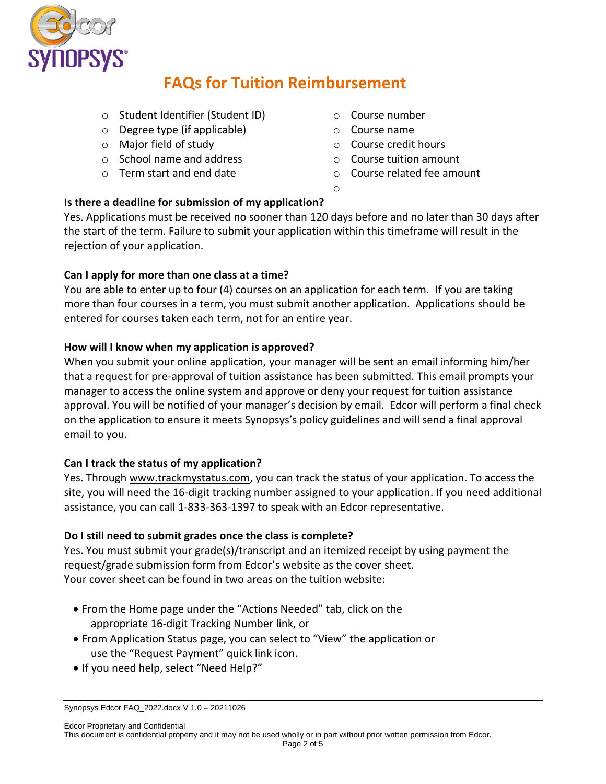

- o Student Identifier (Student ID)
- o Degree type (if applicable)
- o Major field of study
- o School name and address
- o Term start and end date
- o Course number
- o Course name
- o Course credit hours
- o Course tuition amount
- o Course related fee amount
- o

## **Is there a deadline for submission of my application?**

Yes. Applications must be received no sooner than 120 days before and no later than 30 days after the start of the term. Failure to submit your application within this timeframe will result in the rejection of your application.

## **Can I apply for more than one class at a time?**

You are able to enter up to four (4) courses on an application for each term. If you are taking more than four courses in a term, you must submit another application. Applications should be entered for courses taken each term, not for an entire year.

## **How will I know when my application is approved?**

When you submit your online application, your manager will be sent an email informing him/her that a request for pre-approval of tuition assistance has been submitted. This email prompts your manager to access the online system and approve or deny your request for tuition assistance approval. You will be notified of your manager's decision by email. Edcor will perform a final check on the application to ensure it meets Synopsys's policy guidelines and will send a final approval email to you.

## **Can I track the status of my application?**

Yes. Throug[h www.trackmystatus.com,](http://www.trackmystatus.com/) you can track the status of your application. To access the site, you will need the 16-digit tracking number assigned to your application. If you need additional assistance, you can call 1-833-363-1397 to speak with an Edcor representative.

## **Do I still need to submit grades once the class is complete?**

Yes. You must submit your grade(s)/transcript and an itemized receipt by using payment the request/grade submission form from Edcor's website as the cover sheet. Your cover sheet can be found in two areas on the tuition website:

- From the Home page under the "Actions Needed" tab, click on the appropriate 16-digit Tracking Number link, or
- From Application Status page, you can select to "View" the application or use the "Request Payment" quick link icon.
- If you need help, select "Need Help?"

Synopsys Edcor FAQ\_2022.docx V 1.0 – 20211026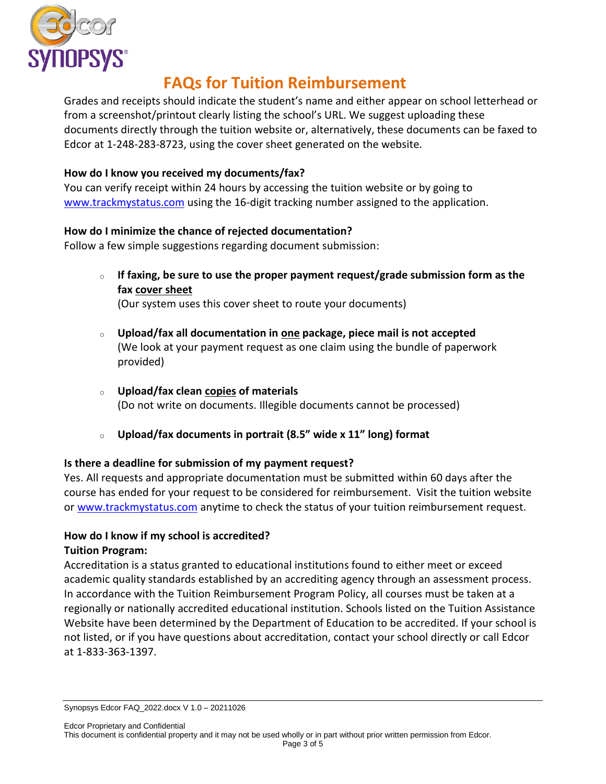

Grades and receipts should indicate the student's name and either appear on school letterhead or from a screenshot/printout clearly listing the school's URL. We suggest uploading these documents directly through the tuition website or, alternatively, these documents can be faxed to Edcor at 1-248-283-8723, using the cover sheet generated on the website.

## **How do I know you received my documents/fax?**

You can verify receipt within 24 hours by accessing the tuition website or by going to [www.trackmystatus.com](http://www.trackmystatus.com/) using the 16-digit tracking number assigned to the application.

#### **How do I minimize the chance of rejected documentation?**

Follow a few simple suggestions regarding document submission:

<sup>o</sup> **If faxing, be sure to use the proper payment request/grade submission form as the fax cover sheet**

(Our system uses this cover sheet to route your documents)

- <sup>o</sup> **Upload/fax all documentation in one package, piece mail is not accepted** (We look at your payment request as one claim using the bundle of paperwork provided)
- <sup>o</sup> **Upload/fax clean copies of materials** (Do not write on documents. Illegible documents cannot be processed)
- <sup>o</sup> **Upload/fax documents in portrait (8.5" wide x 11" long) format**

## **Is there a deadline for submission of my payment request?**

Yes. All requests and appropriate documentation must be submitted within 60 days after the course has ended for your request to be considered for reimbursement. Visit the tuition website or [www.trackmystatus.com](http://www.trackmystatus.com/) anytime to check the status of your tuition reimbursement request.

## **How do I know if my school is accredited?**

#### **Tuition Program:**

Accreditation is a status granted to educational institutions found to either meet or exceed academic quality standards established by an accrediting agency through an assessment process. In accordance with the Tuition Reimbursement Program Policy, all courses must be taken at a regionally or nationally accredited educational institution. Schools listed on the Tuition Assistance Website have been determined by the Department of Education to be accredited. If your school is not listed, or if you have questions about accreditation, contact your school directly or call Edcor at 1-833-363-1397.

Synopsys Edcor FAQ\_2022.docx V 1.0 – 20211026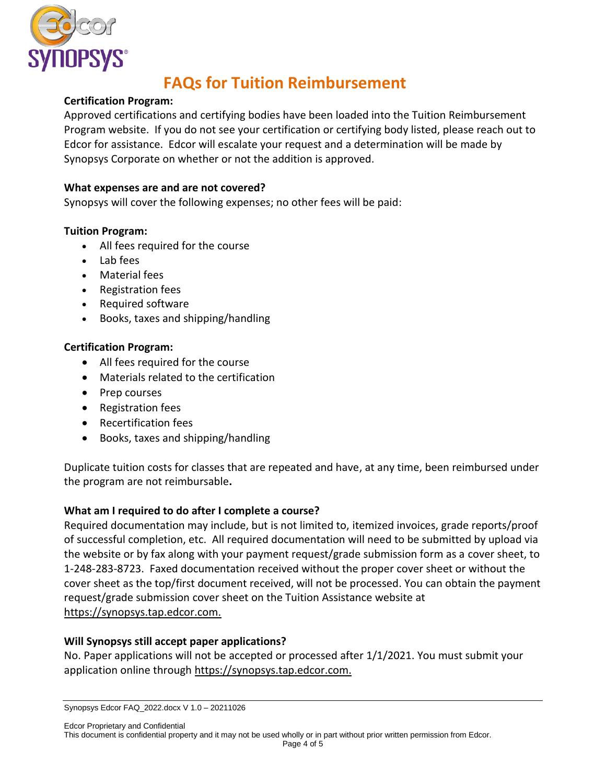

#### **Certification Program:**

Approved certifications and certifying bodies have been loaded into the Tuition Reimbursement Program website. If you do not see your certification or certifying body listed, please reach out to Edcor for assistance. Edcor will escalate your request and a determination will be made by Synopsys Corporate on whether or not the addition is approved.

#### **What expenses are and are not covered?**

Synopsys will cover the following expenses; no other fees will be paid:

#### **Tuition Program:**

- All fees required for the course
- Lab fees
- Material fees
- Registration fees
- Required software
- Books, taxes and shipping/handling

#### **Certification Program:**

- All fees required for the course
- Materials related to the certification
- Prep courses
- Registration fees
- Recertification fees
- Books, taxes and shipping/handling

Duplicate tuition costs for classes that are repeated and have, at any time, been reimbursed under the program are not reimbursable**.** 

#### **What am I required to do after I complete a course?**

Required documentation may include, but is not limited to, itemized invoices, grade reports/proof of successful completion, etc. All required documentation will need to be submitted by upload via the website or by fax along with your payment request/grade submission form as a cover sheet, to 1-248-283-8723. Faxed documentation received without the proper cover sheet or without the cover sheet as the top/first document received, will not be processed. You can obtain the payment request/grade submission cover sheet on the Tuition Assistance website at https://synopsys.tap.edcor.com.

#### **Will Synopsys still accept paper applications?**

No. Paper applications will not be accepted or processed after 1/1/2021. You must submit your application online through https://synopsys.tap.edcor.com.

Synopsys Edcor FAQ\_2022.docx V 1.0 – 20211026